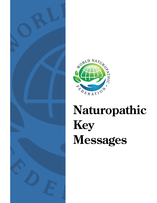

# NORLD NATURO REDERATION

## **Naturopathic Key Messages**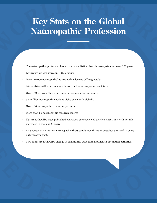## **Key Stats on the Global Naturopathic Profession**

- The naturopathic profession has existed as a distinct health care system for over 120 years.
- Naturopathic Workforce in 108 countries
- Over 110,000 naturopaths/ naturopathic doctors (NDs) globally
- 34 countries with statutory regulation for the naturopathic workforce
- Over 130 naturopathic educational programs internationally
- 5.5 million naturopathic patient visits per month globally
- Over 100 naturopathic community clinics
- More than 20 naturopathic research centres
- Naturopaths/NDs have published over 2000 peer-reviewed articles since 1987 with notable increases in the last 20 years.
- An average of 4 different naturopathic therapeutic modalities or practices are used in every naturopathic visit.
- 98% of naturopaths/NDs engage in community education and health promotion activities.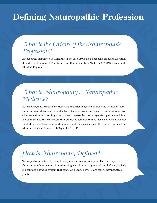## **Defining Naturopathic Profession**

#### What is the Origin of the Naturopathic Profession?

Naturopathy originated in Germany in the late 1800s as a European traditional system of medicine. It is part of Traditional and Complementary Medicine (T&CM) throughout all WHO Regions.

## What is Naturopathy / Naturopathic Medicine?

Naturopathy/naturopathic medicine is a traditional system of medicine defined by core philosophies and principles, guided by distinct naturopathic theories and integrated with a biomedical understanding of health and disease. Naturopathy/naturopathic medicine is a primary health care system that embraces complexity in all levels of patient assessment, diagnosis, treatment, and management that uses natural therapies to support and stimulate the body's innate ability to heal itself.

## How is Naturopathy Defined?

Naturopathy is defined by two philosophies and seven principles. The naturopathic philosophies of *vitalism* (an innate intelligence of living organisms) and *holism* (the body is a complex adaptive system that exists as a unified whole) are core to naturopathic practice.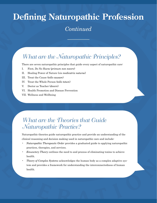## **Defining Naturopathic Profession**

#### *Continued*

## What are the Naturopathic Principles?

There are seven naturopathic principles that guide every aspect of naturopathic care:

- I. First, Do No Harm (*primum non nocere*)
- II. Healing Power of Nature (*vis medicatrix naturae*)
- III. Treat the Cause (*tolle causam*)
- IV. Treat the Whole Person (*tolle totum*)
- V. Doctor as Teacher (*docere*)
- VI. Health Promotion and Disease Prevention
- VII. Wellness and Wellbeing

#### What are the Theories that Guide Naturopathic Practice?

Naturopathic theories guide naturopathic practice and provide an understanding of the clinical reasoning and decision making used in naturopathic care and include:

- *Naturopathic Therapeutic Order* provides a graduated guide to applying naturopathic practices, therapies, and services.
- *Emunctory Theory* outlines the need to and process of eliminating toxins to achieve health.
- *Theory of Complex Systems* acknowledges the human body as a complex adaptive system and provides a framework for understanding the interconnectedness of human health.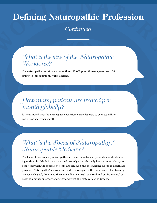## **Defining Naturopathic Profession**

*Continued*

### What is the size of the Naturopathic Workforce?

The naturopathic workforce of more than 110,000 practitioners spans over 108 countries throughout all WHO Regions.

## How many patients are treated per month globally?

It is estimated that the naturopathic workforce provides care to over 5.5 million patients globally per month.

## What is the Focus of Naturopathy / Naturopathic Medicine?

The focus of naturopathy/naturopathic medicine is in disease prevention and establishing optimal health. It is based on the knowledge that the body has an innate ability to heal itself when the obstacles to cure are removed and the building blocks to health are provided. Naturopathy/naturopathic medicine recognizes the importance of addressing the psychological, functional (biochemical), structural, spiritual and environmental aspects of a person in order to identify and treat the roots causes of disease.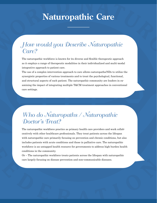## **Naturopathic Care**

#### How would you Describe Naturopathic Care?

The naturopathic workforce is known for its diverse and flexible therapeutic approach as it employs a range of therapeutic modalities in their individualized and multi-modal integrative approach to patient care.

The use of a complex intervention approach to care allows naturopaths/NDs to utilize the synergistic properties of various treatments and to treat the psychological, functional, and structural aspects of each patient. The naturopathic community are leaders in examining the impact of integrating multiple T&CM treatment approaches in conventional care settings.

#### Who do Naturopaths / Naturopathic Doctor's Treat?

The naturopathic workforce practice as primary health care providers and work collaboratively with other healthcare professionals. They treat patients across the lifespan with naturopathic care primarily focusing on prevention and chronic conditions, but also includes patients with acute conditions and those in palliative care. The naturopathic workforce is an untapped health resource for governments to address high burden health conditions in the community.

Or – The naturopathic workforce treats patients across the lifespan with naturopathic care largely focusing on disease prevention and non-communicable diseases.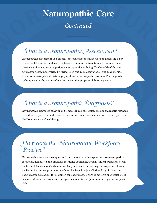## **Naturopathic Care** *Continued*

## What is a Naturopathic Assessment?

Naturopathic assessment is a person-centered process that focuses on assessing a patient's health status, on identifying factors contributing to patient's symptoms and/or diseases and on assessing a patient's vitality and well-being. The breadth of the naturopathic assessment varies by jurisdiction and regulatory status, and may include a comprehensive patient history, physical exam, naturopathic exam and/or diagnostic techniques, and the review of medications and appropriate laboratory tests.

## What is a Naturopathic Diagnosis?

Naturopathic diagnoses draw upon biomedical and profession-specific diagnostic methods to evaluate a patient's health status, determine underlying causes, and asses a patient's vitality and sense of well-being.

#### How does the Naturopathic Workforce Practice?

Naturopathic practice is complex and multi-modal and incorporates core naturopathic therapies, modalities and practices including applied nutrition, clinical nutrition, herbal medicine, lifestyle modification, mind-body medicine counselling, naturopathic physical medicine, hydrotherapy, and other therapies based on jurisdictional regulations and naturopathic education. It is common for naturopaths / NDs to perform or prescribe four or more different naturopathic therapeutic modalities or practices during a naturopathic visit.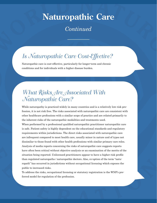## **Naturopathic Care**

*Continued*

## Is Naturopathic Care Cost-Effective?

Naturopathic care is cost-effective, particularly for longer-term and chronic conditions and for individuals with a higher disease burden.

## What Risks Are Associated With Naturopathic Care?

While naturopathy is practiced widely in many countries and is a relatively low risk profession, it is not risk free. The risks associated with naturopathic care are consistent with other healthcare professions with a similar scope of practice and are related primarily to the inherent risks of the naturopathic modalities and treatments used.

When performed by a professional qualified naturopathic practitioner naturopathic care is safe. Patient safety is highly dependent on the educational standards and regulatory requirements within jurisdictions. The direct risks associated with naturopathic care are infrequent compared to most health care, usually minor in nature and of types not dissimilar to those found with other health professions with similar primary care roles. Analysis of media reports concerning the risks of naturopathic care suggests reports have often been critical without objective analysis or an examination of the merits of the situation being reported. Unlicensed practitioners appear to have a higher risk profile than regulated naturopaths / naturopathic doctors. Also, co-option of the term "naturopath" has occurred in jurisdictions without occupational licensing which exposes the public to increased risks.

To address the risks, occupational licensing or statutory registration is the WNF's preferred model for regulation of the profession.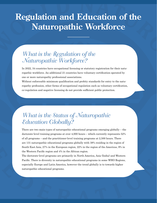## **Regulation and Education of the Naturopathic Workforce**

### What is the Regulation of the Naturopathic Workforce?

In 2022, 34 countries have occupational licensing or statutory registration for their naturopathic workforce. An additional 21 countries have voluntary certification operated by one or more naturopathy professional associations.

Without enforceable minimum qualification and probity standards for entry to the naturopathy profession, other forms of occupational regulation such as voluntary certification, co-regulation and negative licensing do not provide sufficient public protection.

## What is the Status of Naturopathic Education Globally?

There are two main types of naturopathic educational programs emerging globally – the doctorate-level training programs at over 4,000 hours – which currently represents 52% of all programs – and the practitioner-level training programs at 2,500 hours. There are 131 naturopathic educational programs globally with 38% residing in the region of South-East Asia, 27% in the European region, 22% in the region of the Americas, 9% in the Western Pacific region and 4% in the African region.

The doctorate-level programs are primarily in North America, Asia (India) and Western Pacific. There is diversity in naturopathic educational programs in some WHO Regions, especially Europe and Latin America, however the trend globally is to towards higher naturopathic educational programs.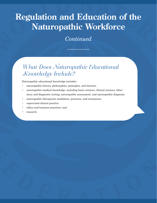## **Regulation and Education of the Naturopathic Workforce**

*Continued*

### What Does Naturopathic Educational Knowledge Include?

Naturopathic educational knowledge includes:

- naturopathic history, philosophies, principles, and theories.
- naturopathic medical knowledge, including basic sciences, clinical sciences, laboratory and diagnostic testing, naturopathic assessment, and naturopathic diagnosis.
- naturopathic therapeutic modalities, practices, and treatments.
- supervised clinical practice.
- ethics and business practices; and
- research.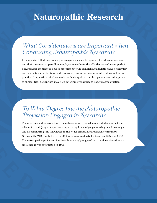## **Naturopathic Research**

### What Considerations are Important when Conducting Naturopathic Research?

It is important that naturopathy is recognized as a total system of traditional medicine and that the research paradigm employed to evaluate the effectiveness of naturopathy/ naturopathic medicine is able to accommodate the complex and holistic nature of naturopathic practice in order to provide accurate results that meaningfully inform policy and practice. Pragmatic clinical research methods apply a complex, person-centred approach to clinical trial design that may help determine reliability to naturopathic practice.

## To What Degree has the Naturopathic Profession Engaged in Research?

The international naturopathic research community has demonstrated sustained commitment to codifying and synthesizing existing knowledge, generating new knowledge, and disseminating this knowledge to the wider clinical and research community. Naturopaths/NDs published over 2000 peer-reviewed articles between 1987 and 2018. The naturopathic profession has been increasingly engaged with evidence-based medicine since it was articulated in 1996.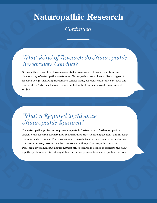## **Naturopathic Research**

*Continued*

## What Kind of Research do Naturopathic Researchers Conduct?

Naturopathic researchers have investigated a broad range of health conditions and a diverse array of naturopathic treatments. Naturopathic researchers utilize all types of research designs including randomized control trials, observational studies, reviews and case studies. Naturopathic researchers publish in high ranked journals on a range of subject.

#### What is Required to Advance Naturopathic Research?

The naturopathic profession requires adequate infrastructure to further support research, build research capacity and, consumer and practitioner engagement, and integration into health systems. There are current research designs, such as pragmatic studies, that can accurately assess the effectiveness and efficacy of naturopathic practice. Dedicated government funding for naturopathic research is needed to facilitate the naturopathic profession's interest, capability and capacity to conduct health quality research.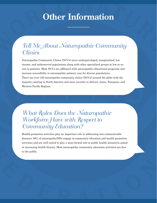## **Other Information**

### Tell Me About Naturopathic Community **Clinics**

Naturopathic Community Clinics (NCCs) serve underprivileged, marginalized, low income, and underserved populations along with other specialized groups at low or no cost to patients. Most NCCs are affiliated with naturopathic educational programs and increase accessibility to naturopathic primary care for diverse populations. There are over 100 naturopathic community clinics (NCCs) around the globe with the majority existing in North America and more recently in African, Asian, European, and Western Pacific Regions.

What Roles Does the Naturopathic Workforce Have with Respect to Community Education?

Health promotion activities play an important role in addressing non-communicable diseases. 98% of naturopaths/NDs engage in community education and health promotion activities and are well suited to play a more formal role in public health initiatives aimed at increasing health literacy. Most naturopathic community education activities are free to the public.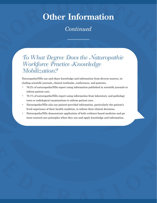## **Other Information**

#### *Continued*

#### To What Degree Does the Naturopathic Workforce Practice Knowledge Mobilization?

Naturopaths/NDs use and share knowledge and information from diverse sources, including scientific journals, clinical textbooks, conferences, and patients.

- 76.2% of naturopaths/NDs report using information published in scientific journals to inform patient care.
- 70.1% of naturopaths/NDs report using information from laboratory, and pathology tests or radiological examinations to inform patient care.
- Naturopaths/NDs also use patient-provided information, particularly the patient's lived experience of their health condition, to inform their clinical decisions.
- Naturopaths/NDs demonstrate application of both evidence-based medicine and patient-centred care principles when they use and apply knowledge and information.